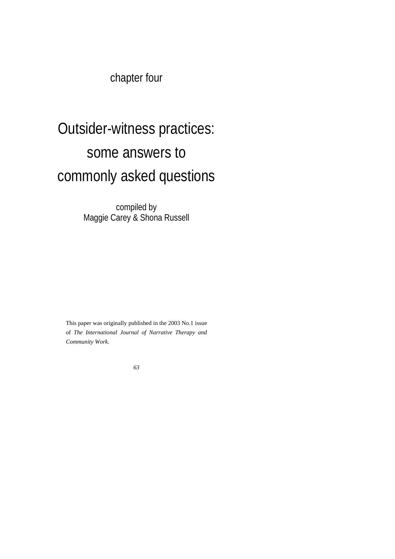chapter four

# Outsider-witness practices: some answers to commonly asked questions

compiled by Maggie Carey & Shona Russell

This paper was originally published in the 2003 No.1 issue of *The International Journal of Narrative Therapy and Community Work.* 

*63*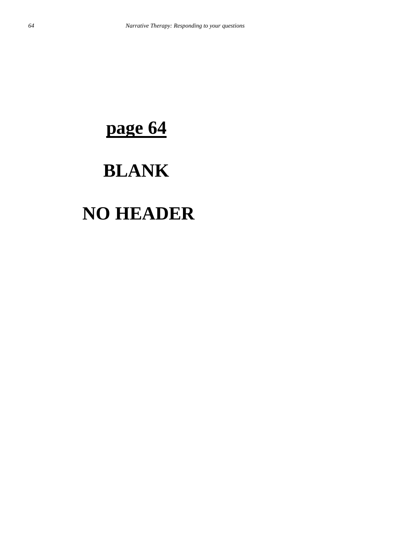# **page 64**

## **BLANK**

## **NO HEADER**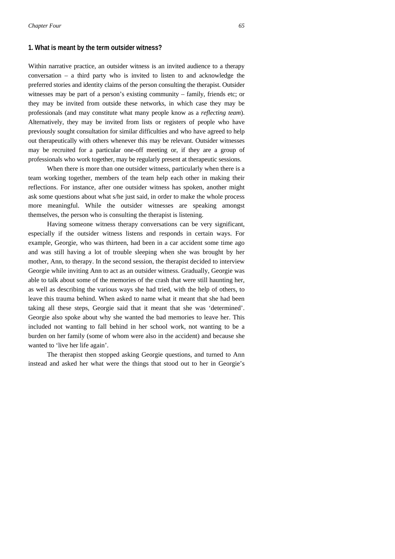### **1. What is meant by the term outsider witness?**

Within narrative practice, an outsider witness is an invited audience to a therapy conversation – a third party who is invited to listen to and acknowledge the preferred stories and identity claims of the person consulting the therapist. Outsider witnesses may be part of a person's existing community – family, friends etc; or they may be invited from outside these networks, in which case they may be professionals (and may constitute what many people know as a *reflecting team*). Alternatively, they may be invited from lists or registers of people who have previously sought consultation for similar difficulties and who have agreed to help out therapeutically with others whenever this may be relevant. Outsider witnesses may be recruited for a particular one-off meeting or, if they are a group of professionals who work together, may be regularly present at therapeutic sessions.

 When there is more than one outsider witness, particularly when there is a team working together, members of the team help each other in making their reflections. For instance, after one outsider witness has spoken, another might ask some questions about what s/he just said, in order to make the whole process more meaningful. While the outsider witnesses are speaking amongst themselves, the person who is consulting the therapist is listening.

 Having someone witness therapy conversations can be very significant, especially if the outsider witness listens and responds in certain ways. For example, Georgie, who was thirteen, had been in a car accident some time ago and was still having a lot of trouble sleeping when she was brought by her mother, Ann, to therapy. In the second session, the therapist decided to interview Georgie while inviting Ann to act as an outsider witness. Gradually, Georgie was able to talk about some of the memories of the crash that were still haunting her, as well as describing the various ways she had tried, with the help of others, to leave this trauma behind. When asked to name what it meant that she had been taking all these steps, Georgie said that it meant that she was 'determined'. Georgie also spoke about why she wanted the bad memories to leave her. This included not wanting to fall behind in her school work, not wanting to be a burden on her family (some of whom were also in the accident) and because she wanted to 'live her life again'.

 The therapist then stopped asking Georgie questions, and turned to Ann instead and asked her what were the things that stood out to her in Georgie's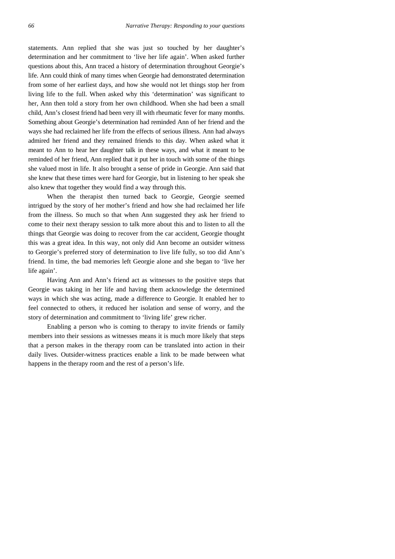statements. Ann replied that she was just so touched by her daughter's determination and her commitment to 'live her life again'. When asked further questions about this, Ann traced a history of determination throughout Georgie's life. Ann could think of many times when Georgie had demonstrated determination from some of her earliest days, and how she would not let things stop her from living life to the full. When asked why this 'determination' was significant to her, Ann then told a story from her own childhood. When she had been a small child, Ann's closest friend had been very ill with rheumatic fever for many months. Something about Georgie's determination had reminded Ann of her friend and the ways she had reclaimed her life from the effects of serious illness. Ann had always admired her friend and they remained friends to this day. When asked what it meant to Ann to hear her daughter talk in these ways, and what it meant to be reminded of her friend, Ann replied that it put her in touch with some of the things she valued most in life. It also brought a sense of pride in Georgie. Ann said that she knew that these times were hard for Georgie, but in listening to her speak she also knew that together they would find a way through this.

 When the therapist then turned back to Georgie, Georgie seemed intrigued by the story of her mother's friend and how she had reclaimed her life from the illness. So much so that when Ann suggested they ask her friend to come to their next therapy session to talk more about this and to listen to all the things that Georgie was doing to recover from the car accident, Georgie thought this was a great idea. In this way, not only did Ann become an outsider witness to Georgie's preferred story of determination to live life fully, so too did Ann's friend. In time, the bad memories left Georgie alone and she began to 'live her life again'.

 Having Ann and Ann's friend act as witnesses to the positive steps that Georgie was taking in her life and having them acknowledge the determined ways in which she was acting, made a difference to Georgie. It enabled her to feel connected to others, it reduced her isolation and sense of worry, and the story of determination and commitment to 'living life' grew richer.

 Enabling a person who is coming to therapy to invite friends or family members into their sessions as witnesses means it is much more likely that steps that a person makes in the therapy room can be translated into action in their daily lives. Outsider-witness practices enable a link to be made between what happens in the therapy room and the rest of a person's life.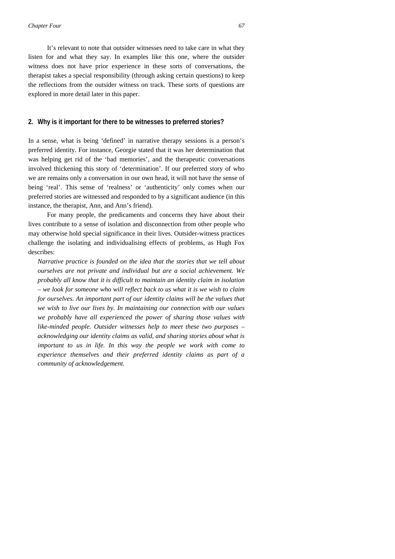It's relevant to note that outsider witnesses need to take care in what they listen for and what they say. In examples like this one, where the outsider witness does not have prior experience in these sorts of conversations, the therapist takes a special responsibility (through asking certain questions) to keep the reflections from the outsider witness on track. These sorts of questions are explored in more detail later in this paper.

## **2. Why is it important for there to be witnesses to preferred stories?**

In a sense, what is being 'defined' in narrative therapy sessions is a person's preferred identity. For instance, Georgie stated that it was her determination that was helping get rid of the 'bad memories', and the therapeutic conversations involved thickening this story of 'determination'. If our preferred story of who we are remains only a conversation in our own head, it will not have the sense of being 'real'. This sense of 'realness' or 'authenticity' only comes when our preferred stories are witnessed and responded to by a significant audience (in this instance, the therapist, Ann, and Ann's friend).

 For many people, the predicaments and concerns they have about their lives contribute to a sense of isolation and disconnection from other people who may otherwise hold special significance in their lives. Outsider-witness practices challenge the isolating and individualising effects of problems, as Hugh Fox describes:

*Narrative practice is founded on the idea that the stories that we tell about ourselves are not private and individual but are a social achievement. We probably all know that it is difficult to maintain an identity claim in isolation – we look for someone who will reflect back to us what it is we wish to claim for ourselves. An important part of our identity claims will be the values that we wish to live our lives by. In maintaining our connection with our values we probably have all experienced the power of sharing those values with like-minded people. Outsider witnesses help to meet these two purposes – acknowledging our identity claims as valid, and sharing stories about what is important to us in life. In this way the people we work with come to experience themselves and their preferred identity claims as part of a community of acknowledgement.*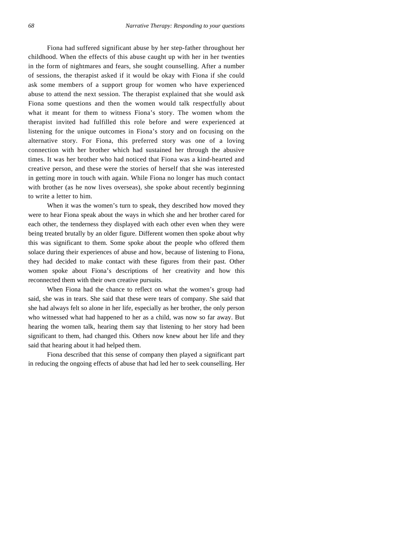Fiona had suffered significant abuse by her step-father throughout her childhood. When the effects of this abuse caught up with her in her twenties in the form of nightmares and fears, she sought counselling. After a number of sessions, the therapist asked if it would be okay with Fiona if she could ask some members of a support group for women who have experienced abuse to attend the next session. The therapist explained that she would ask Fiona some questions and then the women would talk respectfully about what it meant for them to witness Fiona's story. The women whom the therapist invited had fulfilled this role before and were experienced at listening for the unique outcomes in Fiona's story and on focusing on the alternative story. For Fiona, this preferred story was one of a loving connection with her brother which had sustained her through the abusive times. It was her brother who had noticed that Fiona was a kind-hearted and creative person, and these were the stories of herself that she was interested in getting more in touch with again. While Fiona no longer has much contact with brother (as he now lives overseas), she spoke about recently beginning to write a letter to him.

 When it was the women's turn to speak, they described how moved they were to hear Fiona speak about the ways in which she and her brother cared for each other, the tenderness they displayed with each other even when they were being treated brutally by an older figure. Different women then spoke about why this was significant to them. Some spoke about the people who offered them solace during their experiences of abuse and how, because of listening to Fiona, they had decided to make contact with these figures from their past. Other women spoke about Fiona's descriptions of her creativity and how this reconnected them with their own creative pursuits.

 When Fiona had the chance to reflect on what the women's group had said, she was in tears. She said that these were tears of company. She said that she had always felt so alone in her life, especially as her brother, the only person who witnessed what had happened to her as a child, was now so far away. But hearing the women talk, hearing them say that listening to her story had been significant to them, had changed this. Others now knew about her life and they said that hearing about it had helped them.

 Fiona described that this sense of company then played a significant part in reducing the ongoing effects of abuse that had led her to seek counselling. Her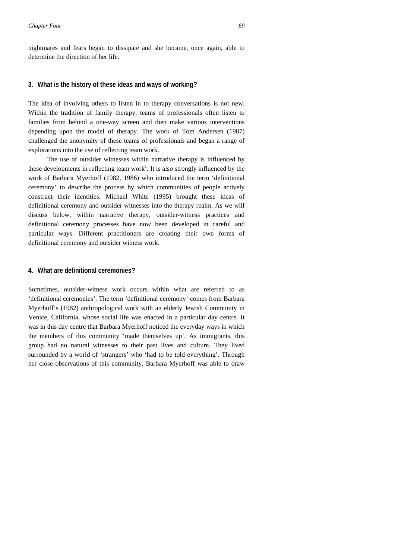nightmares and fears began to dissipate and she became, once again, able to determine the direction of her life.

## **3. What is the history of these ideas and ways of working?**

The idea of involving others to listen in to therapy conversations is not new. Within the tradition of family therapy, teams of professionals often listen to families from behind a one-way screen and then make various interventions depending upon the model of therapy. The work of Tom Andersen (1987) challenged the anonymity of these teams of professionals and began a range of explorations into the use of reflecting team work.

 The use of outsider witnesses within narrative therapy is influenced by these developments in reflecting team work<sup>1</sup>. It is also strongly influenced by the work of Barbara Myerhoff (1982, 1986) who introduced the term 'definitional ceremony' to describe the process by which communities of people actively construct their identities. Michael White (1995) brought these ideas of definitional ceremony and outsider witnesses into the therapy realm. As we will discuss below, within narrative therapy, outsider-witness practices and definitional ceremony processes have now been developed in careful and particular ways. Different practitioners are creating their own forms of definitional ceremony and outsider witness work.

#### **4. What are definitional ceremonies?**

Sometimes, outsider-witness work occurs within what are referred to as 'definitional ceremonies'. The term 'definitional ceremony' comes from Barbara Myerhoff's (1982) anthropological work with an elderly Jewish Community in Venice, California, whose social life was enacted in a particular day centre. It was in this day centre that Barbara Myerhoff noticed the everyday ways in which the members of this community 'made themselves up'. As immigrants, this group had no natural witnesses to their past lives and culture. They lived surrounded by a world of 'strangers' who 'had to be told everything'. Through her close observations of this community, Barbara Myerhoff was able to draw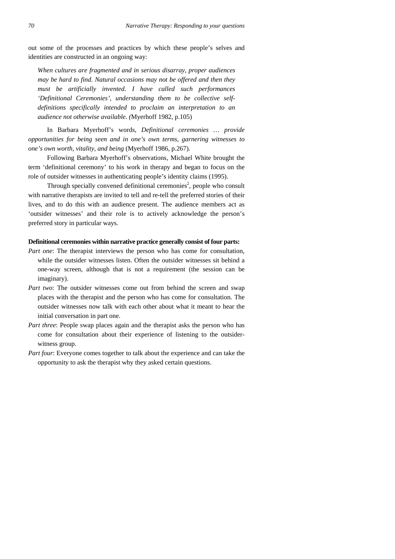out some of the processes and practices by which these people's selves and identities are constructed in an ongoing way:

*When cultures are fragmented and in serious disarray, proper audiences may be hard to find. Natural occasions may not be offered and then they must be artificially invented. I have called such performances 'Definitional Ceremonies', understanding them to be collective selfdefinitions specifically intended to proclaim an interpretation to an audience not otherwise available. (*Myerhoff 1982, p.105)

 In Barbara Myerhoff's words, *Definitional ceremonies … provide opportunities for being seen and in one's own terms, garnering witnesses to one's own worth, vitality, and being* (Myerhoff 1986, p.267).

 Following Barbara Myerhoff's observations, Michael White brought the term 'definitional ceremony' to his work in therapy and began to focus on the role of outsider witnesses in authenticating people's identity claims (1995).

Through specially convened definitional ceremonies<sup>2</sup>, people who consult with narrative therapists are invited to tell and re-tell the preferred stories of their lives, and to do this with an audience present. The audience members act as 'outsider witnesses' and their role is to actively acknowledge the person's preferred story in particular ways.

#### **Definitional ceremonies within narrative practice generally consist of four parts:**

- *Part one*: The therapist interviews the person who has come for consultation, while the outsider witnesses listen. Often the outsider witnesses sit behind a one-way screen, although that is not a requirement (the session can be imaginary).
- *Part two*: The outsider witnesses come out from behind the screen and swap places with the therapist and the person who has come for consultation. The outsider witnesses now talk with each other about what it meant to hear the initial conversation in part one.
- *Part three*: People swap places again and the therapist asks the person who has come for consultation about their experience of listening to the outsiderwitness group.
- *Part four*: Everyone comes together to talk about the experience and can take the opportunity to ask the therapist why they asked certain questions.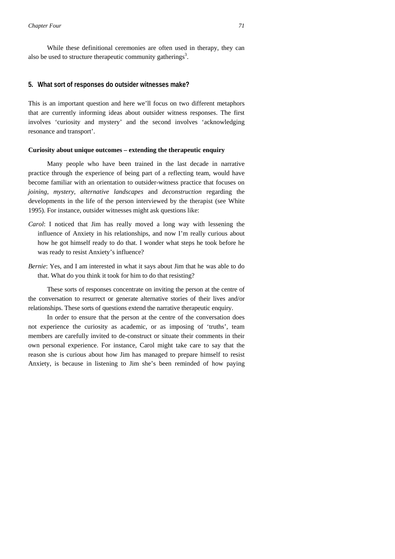## **5. What sort of responses do outsider witnesses make?**

This is an important question and here we'll focus on two different metaphors that are currently informing ideas about outsider witness responses. The first involves 'curiosity and mystery' and the second involves 'acknowledging resonance and transport'.

#### **Curiosity about unique outcomes – extending the therapeutic enquiry**

 Many people who have been trained in the last decade in narrative practice through the experience of being part of a reflecting team, would have become familiar with an orientation to outsider-witness practice that focuses on *joining*, *mystery, alternative landscapes* and *deconstruction* regarding the developments in the life of the person interviewed by the therapist (see White 1995). For instance, outsider witnesses might ask questions like:

- *Carol*: I noticed that Jim has really moved a long way with lessening the influence of Anxiety in his relationships, and now I'm really curious about how he got himself ready to do that. I wonder what steps he took before he was ready to resist Anxiety's influence?
- *Bernie*: Yes, and I am interested in what it says about Jim that he was able to do that. What do you think it took for him to do that resisting?

 These sorts of responses concentrate on inviting the person at the centre of the conversation to resurrect or generate alternative stories of their lives and/or relationships. These sorts of questions extend the narrative therapeutic enquiry.

 In order to ensure that the person at the centre of the conversation does not experience the curiosity as academic, or as imposing of 'truths', team members are carefully invited to de-construct or situate their comments in their own personal experience. For instance, Carol might take care to say that the reason she is curious about how Jim has managed to prepare himself to resist Anxiety, is because in listening to Jim she's been reminded of how paying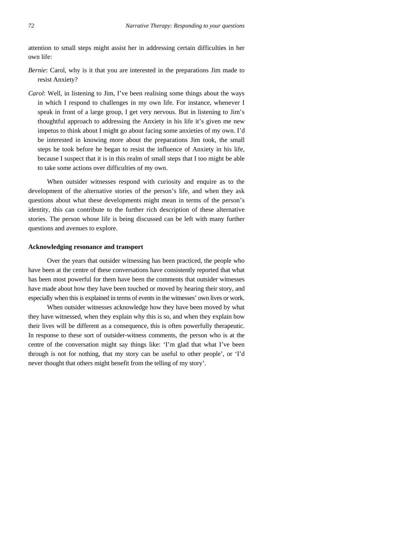attention to small steps might assist her in addressing certain difficulties in her own life:

- *Bernie*: Carol, why is it that you are interested in the preparations Jim made to resist Anxiety?
- *Carol*: Well, in listening to Jim, I've been realising some things about the ways in which I respond to challenges in my own life. For instance, whenever I speak in front of a large group, I get very nervous. But in listening to Jim's thoughtful approach to addressing the Anxiety in his life it's given me new impetus to think about I might go about facing some anxieties of my own. I'd be interested in knowing more about the preparations Jim took, the small steps he took before he began to resist the influence of Anxiety in his life, because I suspect that it is in this realm of small steps that I too might be able to take some actions over difficulties of my own.

 When outsider witnesses respond with curiosity and enquire as to the development of the alternative stories of the person's life, and when they ask questions about what these developments might mean in terms of the person's identity, this can contribute to the further rich description of these alternative stories. The person whose life is being discussed can be left with many further questions and avenues to explore.

#### **Acknowledging resonance and transport**

 Over the years that outsider witnessing has been practiced, the people who have been at the centre of these conversations have consistently reported that what has been most powerful for them have been the comments that outsider witnesses have made about how they have been touched or moved by hearing their story, and especially when this is explained in terms of events in the witnesses' own lives or work.

 When outsider witnesses acknowledge how they have been moved by what they have witnessed, when they explain why this is so, and when they explain how their lives will be different as a consequence, this is often powerfully therapeutic. In response to these sort of outsider-witness comments, the person who is at the centre of the conversation might say things like: 'I'm glad that what I've been through is not for nothing, that my story can be useful to other people', or 'I'd never thought that others might benefit from the telling of my story'.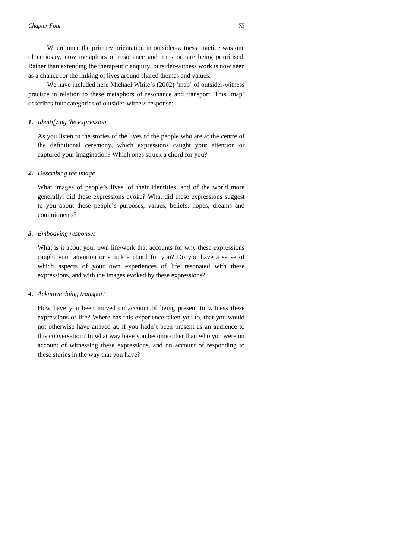Where once the primary orientation in outsider-witness practice was one of curiosity, now metaphors of resonance and transport are being prioritised. Rather than extending the therapeutic enquiry, outsider-witness work is now seen as a chance for the linking of lives around shared themes and values.

 We have included here Michael White's (2002) 'map' of outsider-witness practice in relation to these metaphors of resonance and transport. This 'map' describes four categories of outsider-witness response:

#### *1. Identifying the expression*

As you listen to the stories of the lives of the people who are at the centre of the definitional ceremony, which expressions caught your attention or captured your imagination? Which ones struck a chord for you?

#### *2. Describing the image*

What images of people's lives, of their identities, and of the world more generally, did these expressions evoke? What did these expressions suggest to you about these people's purposes, values, beliefs, hopes, dreams and commitments?

#### *3. Embodying responses*

What is it about your own life/work that accounts for why these expressions caught your attention or struck a chord for you? Do you have a sense of which aspects of your own experiences of life resonated with these expressions, and with the images evoked by these expressions?

#### *4. Acknowledging transport*

How have you been moved on account of being present to witness these expressions of life? Where has this experience taken you to, that you would not otherwise have arrived at, if you hadn't been present as an audience to this conversation? In what way have you become other than who you were on account of witnessing these expressions, and on account of responding to these stories in the way that you have?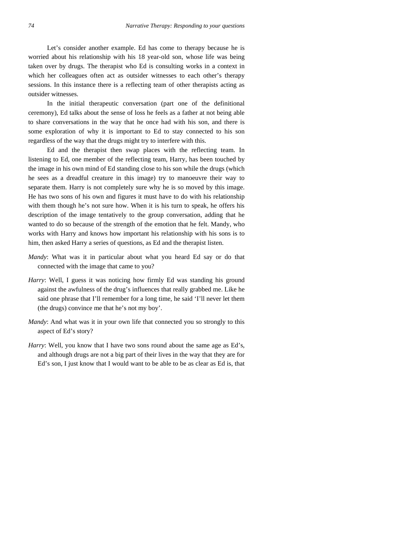Let's consider another example. Ed has come to therapy because he is worried about his relationship with his 18 year-old son, whose life was being taken over by drugs. The therapist who Ed is consulting works in a context in which her colleagues often act as outsider witnesses to each other's therapy sessions. In this instance there is a reflecting team of other therapists acting as outsider witnesses.

 In the initial therapeutic conversation (part one of the definitional ceremony), Ed talks about the sense of loss he feels as a father at not being able to share conversations in the way that he once had with his son, and there is some exploration of why it is important to Ed to stay connected to his son regardless of the way that the drugs might try to interfere with this.

 Ed and the therapist then swap places with the reflecting team. In listening to Ed, one member of the reflecting team, Harry, has been touched by the image in his own mind of Ed standing close to his son while the drugs (which he sees as a dreadful creature in this image) try to manoeuvre their way to separate them. Harry is not completely sure why he is so moved by this image. He has two sons of his own and figures it must have to do with his relationship with them though he's not sure how. When it is his turn to speak, he offers his description of the image tentatively to the group conversation, adding that he wanted to do so because of the strength of the emotion that he felt. Mandy, who works with Harry and knows how important his relationship with his sons is to him, then asked Harry a series of questions, as Ed and the therapist listen.

- *Mandy*: What was it in particular about what you heard Ed say or do that connected with the image that came to you?
- *Harry*: Well, I guess it was noticing how firmly Ed was standing his ground against the awfulness of the drug's influences that really grabbed me. Like he said one phrase that I'll remember for a long time, he said 'I'll never let them (the drugs) convince me that he's not my boy'.
- *Mandy*: And what was it in your own life that connected you so strongly to this aspect of Ed's story?
- *Harry*: Well, you know that I have two sons round about the same age as Ed's, and although drugs are not a big part of their lives in the way that they are for Ed's son, I just know that I would want to be able to be as clear as Ed is, that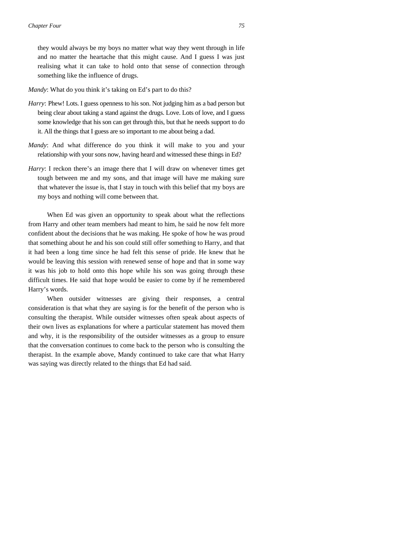they would always be my boys no matter what way they went through in life and no matter the heartache that this might cause. And I guess I was just realising what it can take to hold onto that sense of connection through something like the influence of drugs.

*Mandy*: What do you think it's taking on Ed's part to do this?

- *Harry*: Phew! Lots. I guess openness to his son. Not judging him as a bad person but being clear about taking a stand against the drugs. Love. Lots of love, and I guess some knowledge that his son can get through this, but that he needs support to do it. All the things that I guess are so important to me about being a dad.
- *Mandy*: And what difference do you think it will make to you and your relationship with your sons now, having heard and witnessed these things in Ed?
- *Harry*: I reckon there's an image there that I will draw on whenever times get tough between me and my sons, and that image will have me making sure that whatever the issue is, that I stay in touch with this belief that my boys are my boys and nothing will come between that.

 When Ed was given an opportunity to speak about what the reflections from Harry and other team members had meant to him, he said he now felt more confident about the decisions that he was making. He spoke of how he was proud that something about he and his son could still offer something to Harry, and that it had been a long time since he had felt this sense of pride. He knew that he would be leaving this session with renewed sense of hope and that in some way it was his job to hold onto this hope while his son was going through these difficult times. He said that hope would be easier to come by if he remembered Harry's words.

 When outsider witnesses are giving their responses, a central consideration is that what they are saying is for the benefit of the person who is consulting the therapist. While outsider witnesses often speak about aspects of their own lives as explanations for where a particular statement has moved them and why, it is the responsibility of the outsider witnesses as a group to ensure that the conversation continues to come back to the person who is consulting the therapist. In the example above, Mandy continued to take care that what Harry was saying was directly related to the things that Ed had said.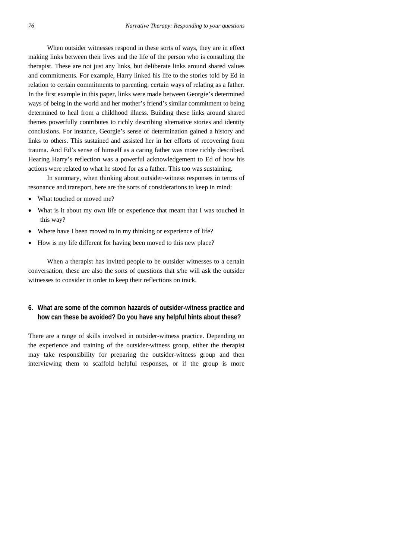When outsider witnesses respond in these sorts of ways, they are in effect making links between their lives and the life of the person who is consulting the therapist. These are not just any links, but deliberate links around shared values and commitments. For example, Harry linked his life to the stories told by Ed in relation to certain commitments to parenting, certain ways of relating as a father. In the first example in this paper, links were made between Georgie's determined ways of being in the world and her mother's friend's similar commitment to being determined to heal from a childhood illness. Building these links around shared themes powerfully contributes to richly describing alternative stories and identity conclusions. For instance, Georgie's sense of determination gained a history and links to others. This sustained and assisted her in her efforts of recovering from trauma. And Ed's sense of himself as a caring father was more richly described. Hearing Harry's reflection was a powerful acknowledgement to Ed of how his actions were related to what he stood for as a father. This too was sustaining.

 In summary, when thinking about outsider-witness responses in terms of resonance and transport, here are the sorts of considerations to keep in mind:

- What touched or moved me?
- What is it about my own life or experience that meant that I was touched in this way?
- Where have I been moved to in my thinking or experience of life?
- How is my life different for having been moved to this new place?

 When a therapist has invited people to be outsider witnesses to a certain conversation, these are also the sorts of questions that s/he will ask the outsider witnesses to consider in order to keep their reflections on track.

## **6. What are some of the common hazards of outsider-witness practice and how can these be avoided? Do you have any helpful hints about these?**

There are a range of skills involved in outsider-witness practice. Depending on the experience and training of the outsider-witness group, either the therapist may take responsibility for preparing the outsider-witness group and then interviewing them to scaffold helpful responses, or if the group is more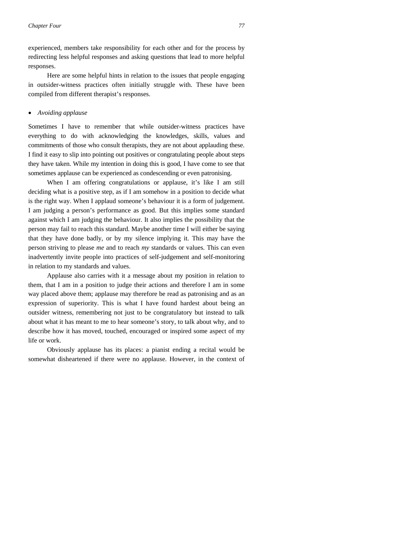experienced, members take responsibility for each other and for the process by redirecting less helpful responses and asking questions that lead to more helpful responses.

 Here are some helpful hints in relation to the issues that people engaging in outsider-witness practices often initially struggle with. These have been compiled from different therapist's responses.

#### • *Avoiding applause*

Sometimes I have to remember that while outsider-witness practices have everything to do with acknowledging the knowledges, skills, values and commitments of those who consult therapists, they are not about applauding these. I find it easy to slip into pointing out positives or congratulating people about steps they have taken. While my intention in doing this is good, I have come to see that sometimes applause can be experienced as condescending or even patronising.

When I am offering congratulations or applause, it's like I am still deciding what is a positive step, as if I am somehow in a position to decide what is the right way. When I applaud someone's behaviour it is a form of judgement. I am judging a person's performance as good. But this implies some standard against which I am judging the behaviour. It also implies the possibility that the person may fail to reach this standard. Maybe another time I will either be saying that they have done badly, or by my silence implying it. This may have the person striving to please *me* and to reach *my* standards or values. This can even inadvertently invite people into practices of self-judgement and self-monitoring in relation to my standards and values.

 Applause also carries with it a message about my position in relation to them, that I am in a position to judge their actions and therefore I am in some way placed above them; applause may therefore be read as patronising and as an expression of superiority. This is what I have found hardest about being an outsider witness, remembering not just to be congratulatory but instead to talk about what it has meant to me to hear someone's story, to talk about why, and to describe how it has moved, touched, encouraged or inspired some aspect of my life or work.

 Obviously applause has its places: a pianist ending a recital would be somewhat disheartened if there were no applause. However, in the context of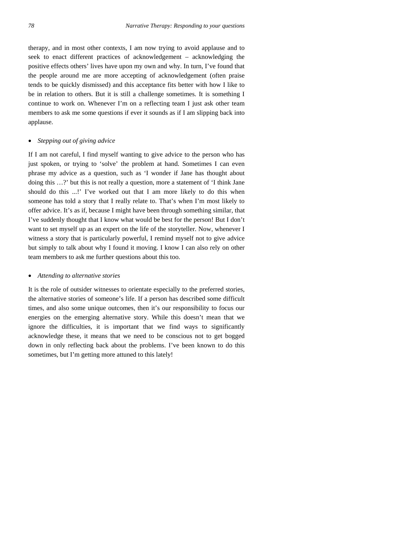therapy, and in most other contexts, I am now trying to avoid applause and to seek to enact different practices of acknowledgement – acknowledging the positive effects others' lives have upon my own and why. In turn, I've found that the people around me are more accepting of acknowledgement (often praise tends to be quickly dismissed) and this acceptance fits better with how I like to be in relation to others. But it is still a challenge sometimes. It is something I continue to work on. Whenever I'm on a reflecting team I just ask other team members to ask me some questions if ever it sounds as if I am slipping back into applause.

#### • *Stepping out of giving advice*

If I am not careful, I find myself wanting to give advice to the person who has just spoken, or trying to 'solve' the problem at hand. Sometimes I can even phrase my advice as a question, such as 'I wonder if Jane has thought about doing this …?' but this is not really a question, more a statement of 'I think Jane should do this ...!' I've worked out that I am more likely to do this when someone has told a story that I really relate to. That's when I'm most likely to offer advice. It's as if, because I might have been through something similar, that I've suddenly thought that I know what would be best for the person! But I don't want to set myself up as an expert on the life of the storyteller. Now, whenever I witness a story that is particularly powerful, I remind myself not to give advice but simply to talk about why I found it moving. I know I can also rely on other team members to ask me further questions about this too.

#### • *Attending to alternative stories*

It is the role of outsider witnesses to orientate especially to the preferred stories, the alternative stories of someone's life. If a person has described some difficult times, and also some unique outcomes, then it's our responsibility to focus our energies on the emerging alternative story. While this doesn't mean that we ignore the difficulties, it is important that we find ways to significantly acknowledge these, it means that we need to be conscious not to get bogged down in only reflecting back about the problems. I've been known to do this sometimes, but I'm getting more attuned to this lately!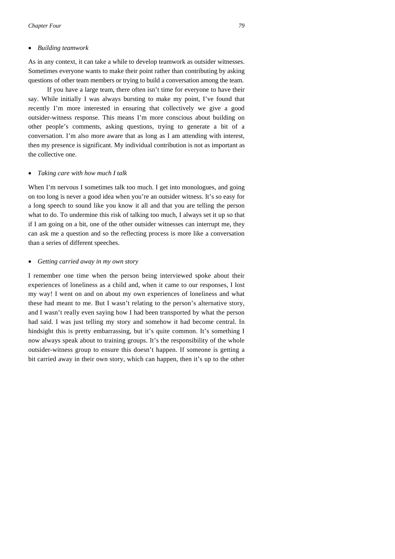#### • *Building teamwork*

As in any context, it can take a while to develop teamwork as outsider witnesses. Sometimes everyone wants to make their point rather than contributing by asking questions of other team members or trying to build a conversation among the team.

 If you have a large team, there often isn't time for everyone to have their say. While initially I was always bursting to make my point, I've found that recently I'm more interested in ensuring that collectively we give a good outsider-witness response. This means I'm more conscious about building on other people's comments, asking questions, trying to generate a bit of a conversation. I'm also more aware that as long as I am attending with interest, then my presence is significant. My individual contribution is not as important as the collective one.

#### • *Taking care with how much I talk*

When I'm nervous I sometimes talk too much. I get into monologues, and going on too long is never a good idea when you're an outsider witness. It's so easy for a long speech to sound like you know it all and that you are telling the person what to do. To undermine this risk of talking too much, I always set it up so that if I am going on a bit, one of the other outsider witnesses can interrupt me, they can ask me a question and so the reflecting process is more like a conversation than a series of different speeches.

#### • *Getting carried away in my own story*

I remember one time when the person being interviewed spoke about their experiences of loneliness as a child and, when it came to our responses, I lost my way! I went on and on about my own experiences of loneliness and what these had meant to me. But I wasn't relating to the person's alternative story, and I wasn't really even saying how I had been transported by what the person had said. I was just telling my story and somehow it had become central. In hindsight this is pretty embarrassing, but it's quite common. It's something I now always speak about to training groups. It's the responsibility of the whole outsider-witness group to ensure this doesn't happen. If someone is getting a bit carried away in their own story, which can happen, then it's up to the other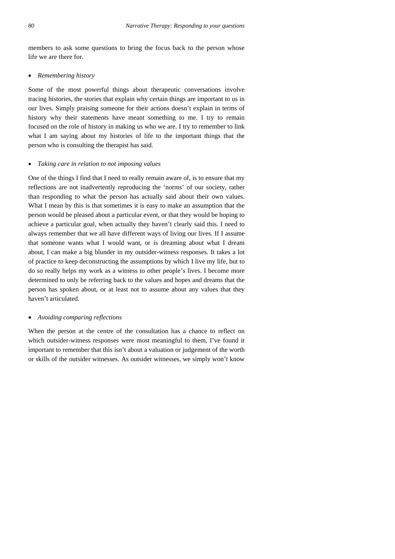members to ask some questions to bring the focus back to the person whose life we are there for.

#### • *Remembering history*

Some of the most powerful things about therapeutic conversations involve tracing histories, the stories that explain why certain things are important to us in our lives. Simply praising someone for their actions doesn't explain in terms of history why their statements have meant something to me. I try to remain focused on the role of history in making us who we are. I try to remember to link what I am saying about my histories of life to the important things that the person who is consulting the therapist has said.

#### • *Taking care in relation to not imposing values*

One of the things I find that I need to really remain aware of, is to ensure that my reflections are not inadvertently reproducing the 'norms' of our society, rather than responding to what the person has actually said about their own values. What I mean by this is that sometimes it is easy to make an assumption that the person would be pleased about a particular event, or that they would be hoping to achieve a particular goal, when actually they haven't clearly said this. I need to always remember that we all have different ways of living our lives. If I assume that someone wants what I would want, or is dreaming about what I dream about, I can make a big blunder in my outsider-witness responses. It takes a lot of practice to keep deconstructing the assumptions by which I live my life, but to do so really helps my work as a witness to other people's lives. I become more determined to only be referring back to the values and hopes and dreams that the person has spoken about, or at least not to assume about any values that they haven't articulated.

#### • *Avoiding comparing reflections*

When the person at the centre of the consultation has a chance to reflect on which outsider-witness responses were most meaningful to them, I've found it important to remember that this isn't about a valuation or judgement of the worth or skills of the outsider witnesses. As outsider witnesses, we simply won't know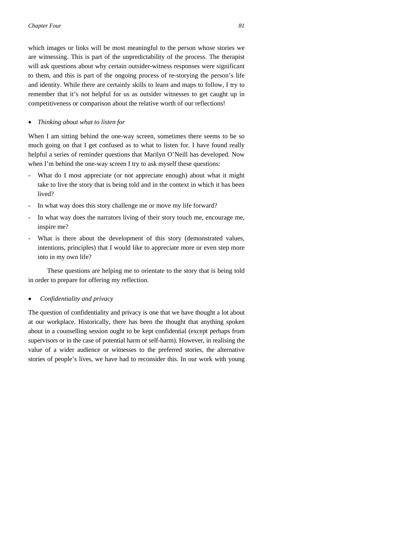which images or links will be most meaningful to the person whose stories we are witnessing. This is part of the unpredictability of the process. The therapist will ask questions about why certain outsider-witness responses were significant to them, and this is part of the ongoing process of re-storying the person's life and identity. While there are certainly skills to learn and maps to follow, I try to remember that it's not helpful for us as outsider witnesses to get caught up in competitiveness or comparison about the relative worth of our reflections!

• *Thinking about what to listen for* 

When I am sitting behind the one-way screen, sometimes there seems to be so much going on that I get confused as to what to listen for. I have found really helpful a series of reminder questions that Marilyn O'Neill has developed. Now when I'm behind the one-way screen I try to ask myself these questions:

- What do I most appreciate (or not appreciate enough) about what it might take to live the story that is being told and in the context in which it has been lived?
- In what way does this story challenge me or move my life forward?
- In what way does the narrators living of their story touch me, encourage me, inspire me?
- What is there about the development of this story (demonstrated values, intentions, principles) that I would like to appreciate more or even step more into in my own life?

 These questions are helping me to orientate to the story that is being told in order to prepare for offering my reflection.

• *Confidentiality and privacy* 

The question of confidentiality and privacy is one that we have thought a lot about at our workplace. Historically, there has been the thought that anything spoken about in a counselling session ought to be kept confidential (except perhaps from supervisors or in the case of potential harm or self-harm). However, in realising the value of a wider audience or witnesses to the preferred stories, the alternative stories of people's lives, we have had to reconsider this. In our work with young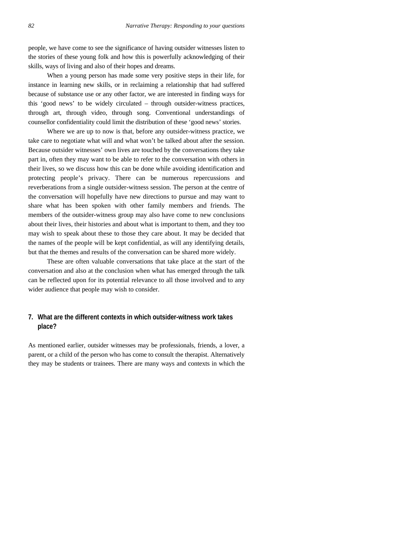people, we have come to see the significance of having outsider witnesses listen to the stories of these young folk and how this is powerfully acknowledging of their skills, ways of living and also of their hopes and dreams.

 When a young person has made some very positive steps in their life, for instance in learning new skills, or in reclaiming a relationship that had suffered because of substance use or any other factor, we are interested in finding ways for this 'good news' to be widely circulated – through outsider-witness practices, through art, through video, through song. Conventional understandings of counsellor confidentiality could limit the distribution of these 'good news' stories.

 Where we are up to now is that, before any outsider-witness practice, we take care to negotiate what will and what won't be talked about after the session. Because outsider witnesses' own lives are touched by the conversations they take part in, often they may want to be able to refer to the conversation with others in their lives, so we discuss how this can be done while avoiding identification and protecting people's privacy. There can be numerous repercussions and reverberations from a single outsider-witness session. The person at the centre of the conversation will hopefully have new directions to pursue and may want to share what has been spoken with other family members and friends. The members of the outsider-witness group may also have come to new conclusions about their lives, their histories and about what is important to them, and they too may wish to speak about these to those they care about. It may be decided that the names of the people will be kept confidential, as will any identifying details, but that the themes and results of the conversation can be shared more widely.

 These are often valuable conversations that take place at the start of the conversation and also at the conclusion when what has emerged through the talk can be reflected upon for its potential relevance to all those involved and to any wider audience that people may wish to consider.

## **7. What are the different contexts in which outsider-witness work takes place?**

As mentioned earlier, outsider witnesses may be professionals, friends, a lover, a parent, or a child of the person who has come to consult the therapist. Alternatively they may be students or trainees. There are many ways and contexts in which the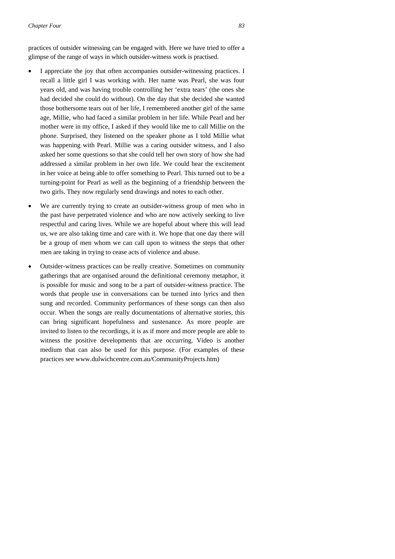practices of outsider witnessing can be engaged with. Here we have tried to offer a glimpse of the range of ways in which outsider-witness work is practised.

- I appreciate the joy that often accompanies outsider-witnessing practices. I recall a little girl I was working with. Her name was Pearl, she was four years old, and was having trouble controlling her 'extra tears' (the ones she had decided she could do without). On the day that she decided she wanted those bothersome tears out of her life, I remembered another girl of the same age, Millie, who had faced a similar problem in her life. While Pearl and her mother were in my office, I asked if they would like me to call Millie on the phone. Surprised, they listened on the speaker phone as I told Millie what was happening with Pearl. Millie was a caring outsider witness, and I also asked her some questions so that she could tell her own story of how she had addressed a similar problem in her own life. We could hear the excitement in her voice at being able to offer something to Pearl. This turned out to be a turning-point for Pearl as well as the beginning of a friendship between the two girls. They now regularly send drawings and notes to each other.
- We are currently trying to create an outsider-witness group of men who in the past have perpetrated violence and who are now actively seeking to live respectful and caring lives. While we are hopeful about where this will lead us, we are also taking time and care with it. We hope that one day there will be a group of men whom we can call upon to witness the steps that other men are taking in trying to cease acts of violence and abuse.
- Outsider-witness practices can be really creative. Sometimes on community gatherings that are organised around the definitional ceremony metaphor, it is possible for music and song to be a part of outsider-witness practice. The words that people use in conversations can be turned into lyrics and then sung and recorded. Community performances of these songs can then also occur. When the songs are really documentations of alternative stories, this can bring significant hopefulness and sustenance. As more people are invited to listen to the recordings, it is as if more and more people are able to witness the positive developments that are occurring. Video is another medium that can also be used for this purpose. (For examples of these practices see www.dulwichcentre.com.au/CommunityProjects.htm)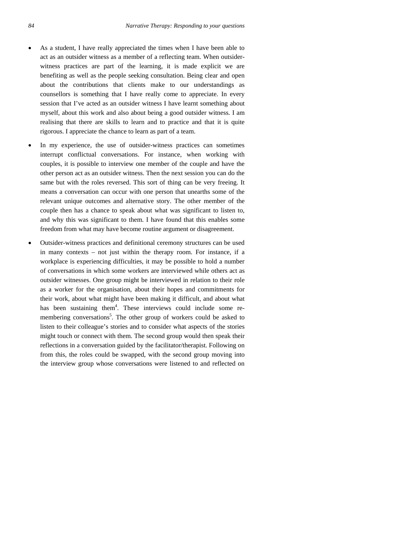- As a student, I have really appreciated the times when I have been able to act as an outsider witness as a member of a reflecting team. When outsiderwitness practices are part of the learning, it is made explicit we are benefiting as well as the people seeking consultation. Being clear and open about the contributions that clients make to our understandings as counsellors is something that I have really come to appreciate. In every session that I've acted as an outsider witness I have learnt something about myself, about this work and also about being a good outsider witness. I am realising that there are skills to learn and to practice and that it is quite rigorous. I appreciate the chance to learn as part of a team.
- In my experience, the use of outsider-witness practices can sometimes interrupt conflictual conversations. For instance, when working with couples, it is possible to interview one member of the couple and have the other person act as an outsider witness. Then the next session you can do the same but with the roles reversed. This sort of thing can be very freeing. It means a conversation can occur with one person that unearths some of the relevant unique outcomes and alternative story. The other member of the couple then has a chance to speak about what was significant to listen to, and why this was significant to them. I have found that this enables some freedom from what may have become routine argument or disagreement.
- Outsider-witness practices and definitional ceremony structures can be used in many contexts – not just within the therapy room. For instance, if a workplace is experiencing difficulties, it may be possible to hold a number of conversations in which some workers are interviewed while others act as outsider witnesses. One group might be interviewed in relation to their role as a worker for the organisation, about their hopes and commitments for their work, about what might have been making it difficult, and about what has been sustaining them<sup>4</sup>. These interviews could include some remembering conversations<sup>5</sup>. The other group of workers could be asked to listen to their colleague's stories and to consider what aspects of the stories might touch or connect with them. The second group would then speak their reflections in a conversation guided by the facilitator/therapist. Following on from this, the roles could be swapped, with the second group moving into the interview group whose conversations were listened to and reflected on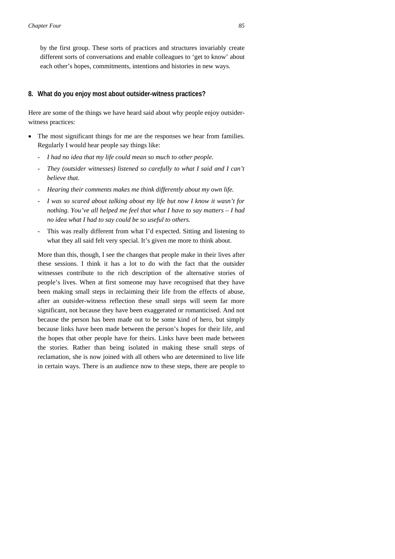by the first group. These sorts of practices and structures invariably create different sorts of conversations and enable colleagues to 'get to know' about each other's hopes, commitments, intentions and histories in new ways.

### **8. What do you enjoy most about outsider-witness practices?**

Here are some of the things we have heard said about why people enjoy outsiderwitness practices:

- The most significant things for me are the responses we hear from families. Regularly I would hear people say things like:
	- *I had no idea that my life could mean so much to other people.*
	- *They (outsider witnesses) listened so carefully to what I said and I can't believe that.*
	- *Hearing their comments makes me think differently about my own life.*
	- *I* was so scared about talking about my life but now *I* know it wasn't for *nothing. You've all helped me feel that what I have to say matters – I had no idea what I had to say could be so useful to others.*
	- This was really different from what I'd expected. Sitting and listening to what they all said felt very special. It's given me more to think about.

More than this, though, I see the changes that people make in their lives after these sessions. I think it has a lot to do with the fact that the outsider witnesses contribute to the rich description of the alternative stories of people's lives. When at first someone may have recognised that they have been making small steps in reclaiming their life from the effects of abuse, after an outsider-witness reflection these small steps will seem far more significant, not because they have been exaggerated or romanticised. And not because the person has been made out to be some kind of hero, but simply because links have been made between the person's hopes for their life, and the hopes that other people have for theirs. Links have been made between the stories. Rather than being isolated in making these small steps of reclamation, she is now joined with all others who are determined to live life in certain ways. There is an audience now to these steps, there are people to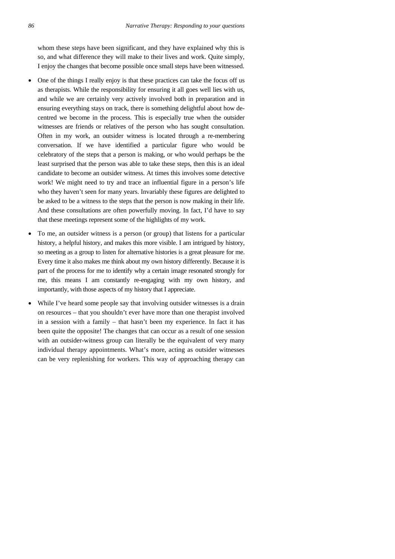whom these steps have been significant, and they have explained why this is so, and what difference they will make to their lives and work. Quite simply, I enjoy the changes that become possible once small steps have been witnessed.

- One of the things I really enjoy is that these practices can take the focus off us as therapists. While the responsibility for ensuring it all goes well lies with us, and while we are certainly very actively involved both in preparation and in ensuring everything stays on track, there is something delightful about how decentred we become in the process. This is especially true when the outsider witnesses are friends or relatives of the person who has sought consultation. Often in my work, an outsider witness is located through a re-membering conversation. If we have identified a particular figure who would be celebratory of the steps that a person is making, or who would perhaps be the least surprised that the person was able to take these steps, then this is an ideal candidate to become an outsider witness. At times this involves some detective work! We might need to try and trace an influential figure in a person's life who they haven't seen for many years. Invariably these figures are delighted to be asked to be a witness to the steps that the person is now making in their life. And these consultations are often powerfully moving. In fact, I'd have to say that these meetings represent some of the highlights of my work.
- To me, an outsider witness is a person (or group) that listens for a particular history, a helpful history, and makes this more visible. I am intrigued by history, so meeting as a group to listen for alternative histories is a great pleasure for me. Every time it also makes me think about my own history differently. Because it is part of the process for me to identify why a certain image resonated strongly for me, this means I am constantly re-engaging with my own history, and importantly, with those aspects of my history that I appreciate.
- While I've heard some people say that involving outsider witnesses is a drain on resources – that you shouldn't ever have more than one therapist involved in a session with a family – that hasn't been my experience. In fact it has been quite the opposite! The changes that can occur as a result of one session with an outsider-witness group can literally be the equivalent of very many individual therapy appointments. What's more, acting as outsider witnesses can be very replenishing for workers. This way of approaching therapy can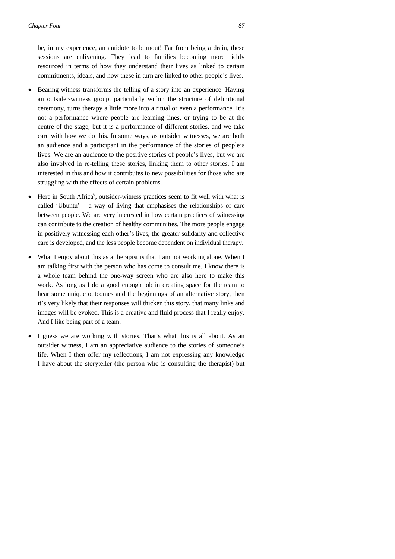be, in my experience, an antidote to burnout! Far from being a drain, these sessions are enlivening. They lead to families becoming more richly resourced in terms of how they understand their lives as linked to certain commitments, ideals, and how these in turn are linked to other people's lives.

- Bearing witness transforms the telling of a story into an experience. Having an outsider-witness group, particularly within the structure of definitional ceremony, turns therapy a little more into a ritual or even a performance. It's not a performance where people are learning lines, or trying to be at the centre of the stage, but it is a performance of different stories, and we take care with how we do this. In some ways, as outsider witnesses, we are both an audience and a participant in the performance of the stories of people's lives. We are an audience to the positive stories of people's lives, but we are also involved in re-telling these stories, linking them to other stories. I am interested in this and how it contributes to new possibilities for those who are struggling with the effects of certain problems.
- $\bullet$  Here in South Africa<sup>6</sup>, outsider-witness practices seem to fit well with what is called 'Ubuntu' – a way of living that emphasises the relationships of care between people. We are very interested in how certain practices of witnessing can contribute to the creation of healthy communities. The more people engage in positively witnessing each other's lives, the greater solidarity and collective care is developed, and the less people become dependent on individual therapy.
- What I enjoy about this as a therapist is that I am not working alone. When I am talking first with the person who has come to consult me, I know there is a whole team behind the one-way screen who are also here to make this work. As long as I do a good enough job in creating space for the team to hear some unique outcomes and the beginnings of an alternative story, then it's very likely that their responses will thicken this story, that many links and images will be evoked. This is a creative and fluid process that I really enjoy. And I like being part of a team.
- I guess we are working with stories. That's what this is all about. As an outsider witness, I am an appreciative audience to the stories of someone's life. When I then offer my reflections, I am not expressing any knowledge I have about the storyteller (the person who is consulting the therapist) but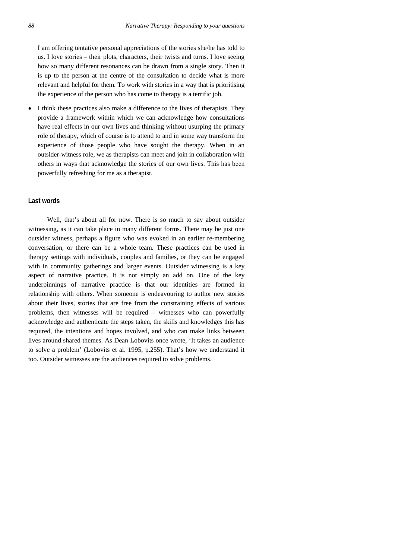I am offering tentative personal appreciations of the stories she/he has told to us. I love stories – their plots, characters, their twists and turns. I love seeing how so many different resonances can be drawn from a single story. Then it is up to the person at the centre of the consultation to decide what is more relevant and helpful for them. To work with stories in a way that is prioritising the experience of the person who has come to therapy is a terrific job.

• I think these practices also make a difference to the lives of therapists. They provide a framework within which we can acknowledge how consultations have real effects in our own lives and thinking without usurping the primary role of therapy, which of course is to attend to and in some way transform the experience of those people who have sought the therapy. When in an outsider-witness role, we as therapists can meet and join in collaboration with others in ways that acknowledge the stories of our own lives. This has been powerfully refreshing for me as a therapist.

## **Last words**

 Well, that's about all for now. There is so much to say about outsider witnessing, as it can take place in many different forms. There may be just one outsider witness, perhaps a figure who was evoked in an earlier re-membering conversation, or there can be a whole team. These practices can be used in therapy settings with individuals, couples and families, or they can be engaged with in community gatherings and larger events. Outsider witnessing is a key aspect of narrative practice. It is not simply an add on. One of the key underpinnings of narrative practice is that our identities are formed in relationship with others. When someone is endeavouring to author new stories about their lives, stories that are free from the constraining effects of various problems, then witnesses will be required – witnesses who can powerfully acknowledge and authenticate the steps taken, the skills and knowledges this has required, the intentions and hopes involved, and who can make links between lives around shared themes. As Dean Lobovits once wrote, 'It takes an audience to solve a problem' (Lobovits et al. 1995, p.255). That's how we understand it too. Outsider witnesses are the audiences required to solve problems.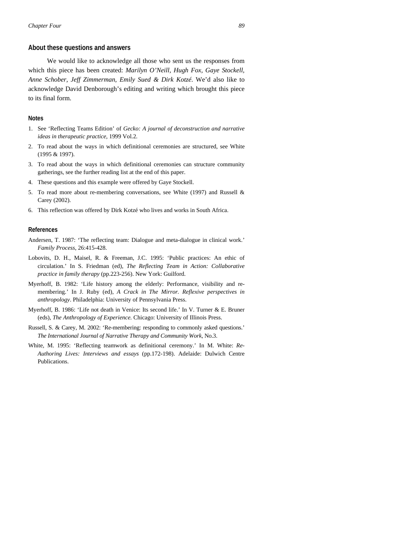#### **About these questions and answers**

 We would like to acknowledge all those who sent us the responses from which this piece has been created: *Marilyn O'Neill, Hugh Fox, Gaye Stockell, Anne Schober, Jeff Zimmerman, Emily Sued & Dirk Kotzé*. We'd also like to acknowledge David Denborough's editing and writing which brought this piece to its final form.

#### **Notes**

- 1. See 'Reflecting Teams Edition' of *Gecko: A journal of deconstruction and narrative ideas in therapeutic practice*, 1999 Vol.2.
- 2. To read about the ways in which definitional ceremonies are structured, see White (1995 & 1997).
- 3. To read about the ways in which definitional ceremonies can structure community gatherings, see the further reading list at the end of this paper.
- 4. These questions and this example were offered by Gaye Stockell.
- 5. To read more about re-membering conversations, see White (1997) and Russell & Carey (2002).
- 6. This reflection was offered by Dirk Kotzé who lives and works in South Africa.

#### **References**

- Andersen, T. 1987: 'The reflecting team: Dialogue and meta-dialogue in clinical work.' *Family Process*, 26:415-428.
- Lobovits, D. H., Maisel, R. & Freeman, J.C. 1995: 'Public practices: An ethic of circulation.' In S. Friedman (ed), *The Reflecting Team in Action: Collaborative practice in family therapy* (pp.223-256). New York: Guilford.
- Myerhoff, B. 1982: 'Life history among the elderly: Performance, visibility and remembering.' In J. Ruby (ed), *A Crack in The Mirror. Reflexive perspectives in anthropology*. Philadelphia: University of Pennsylvania Press.
- Myerhoff, B. 1986: 'Life not death in Venice: Its second life.' In V. Turner & E. Bruner (eds), *The Anthropology of Experience.* Chicago: University of Illinois Press.
- Russell, S. & Carey, M. 2002: 'Re-membering: responding to commonly asked questions.' *The International Journal of Narrative Therapy and Community Work,* No.3.
- White, M. 1995: 'Reflecting teamwork as definitional ceremony.' In M. White: *Re-Authoring Lives: Interviews and essays* (pp.172-198). Adelaide: Dulwich Centre Publications.